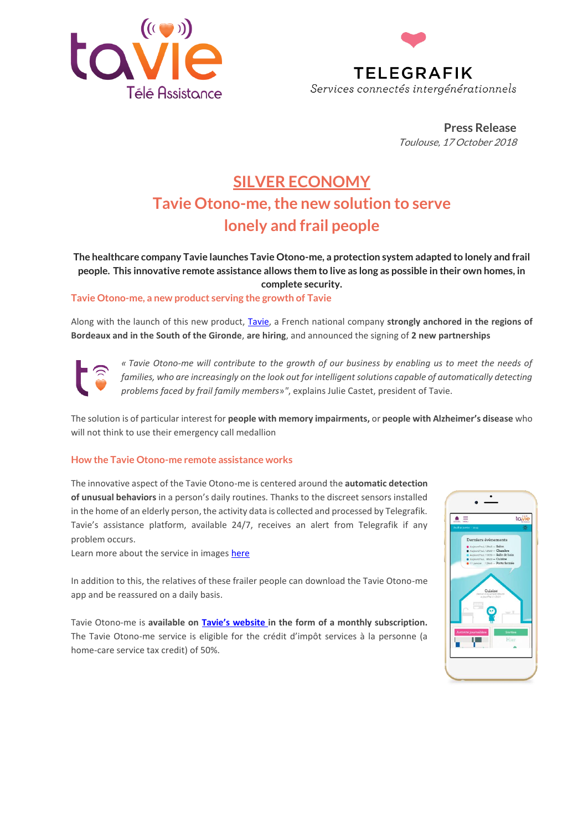



**Press Release** Toulouse, 17 October 2018

## **SILVER ECONOMY Tavie Otono-me, the new solution to serve lonely and frail people**

**The healthcare company Tavie launches Tavie Otono-me, a protection system adapted to lonely and frail people. This innovative remote assistance allows them to live as long as possible in their own homes, in complete security.**

**Tavie Otono-me, a new product serving the growth of Tavie** 

Along with the launch of this new product, [Tavie,](https://www.tavie.fr/) a French national company **strongly anchored in the regions of Bordeaux and in the South of the Gironde**, **are hiring**, and announced the signing of **2 new partnerships**

*« Tavie Otono-me will contribute to the growth of our business by enabling us to meet the needs of families, who are increasingly on the look out for intelligent solutions capable of automatically detecting problems faced by frail family members*»*"*, explains Julie Castet, president of Tavie.

The solution is of particular interest for **people with memory impairments,** or **people with Alzheimer's disease** who will not think to use their emergency call medallion

## **How the Tavie Otono-me remote assistance works**

The innovative aspect of the Tavie Otono-me is centered around the **automatic detection of unusual behaviors** in a person's daily routines. Thanks to the discreet sensors installed in the home of an elderly person, the activity data is collected and processed by Telegrafik. Tavie's assistance platform, available 24/7, receives an alert from Telegrafik if any problem occurs.

Learn more about the service in image[s here](https://youtu.be/bc2WecNgeJs)

In addition to this, the relatives of these frailer people can download the Tavie Otono-me app and be reassured on a daily basis.

Tavie Otono-me is **available on [Tavie's website](https://www.tavie.fr/teleassistance-sans-bracelet/) in the form of a monthly subscription.** The Tavie Otono-me service is eligible for the crédit d'impôt services à la personne (a home-care service tax credit) of 50%.